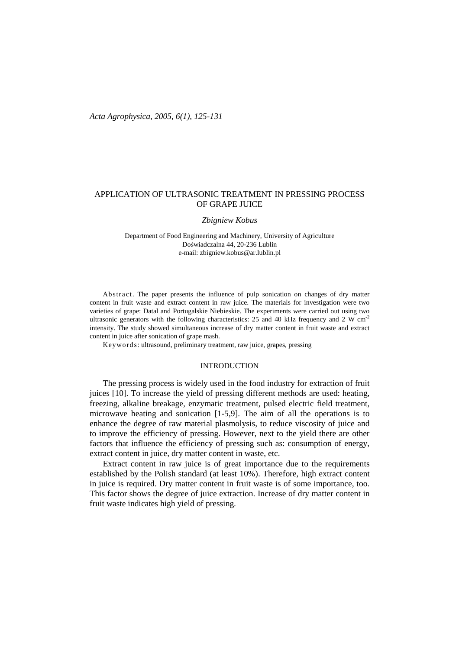# APPLICATION OF ULTRASONIC TREATMENT IN PRESSING PROCESS OF GRAPE JUICE

#### *Zbigniew Kobus*

Department of Food Engineering and Machinery, University of Agriculture Doświadczalna 44, 20-236 Lublin e-mail: zbigniew.kobus@ar.lublin.pl

Ab stract. The paper presents the influence of pulp sonication on changes of dry matter content in fruit waste and extract content in raw juice. The materials for investigation were two varieties of grape: Datal and Portugalskie Niebieskie. The experiments were carried out using two ultrasonic generators with the following characteristics: 25 and 40 kHz frequency and 2 W  $cm^{-2}$ intensity. The study showed simultaneous increase of dry matter content in fruit waste and extract content in juice after sonication of grape mash.

Keywo rds: ultrasound, preliminary treatment, raw juice, grapes, pressing

#### INTRODUCTION

The pressing process is widely used in the food industry for extraction of fruit juices [10]. To increase the yield of pressing different methods are used: heating, freezing, alkaline breakage, enzymatic treatment, pulsed electric field treatment, microwave heating and sonication [1-5,9]. The aim of all the operations is to enhance the degree of raw material plasmolysis, to reduce viscosity of juice and to improve the efficiency of pressing. However, next to the yield there are other factors that influence the efficiency of pressing such as: consumption of energy, extract content in juice, dry matter content in waste, etc.

Extract content in raw juice is of great importance due to the requirements established by the Polish standard (at least 10%). Therefore, high extract content in juice is required. Dry matter content in fruit waste is of some importance, too. This factor shows the degree of juice extraction. Increase of dry matter content in fruit waste indicates high yield of pressing.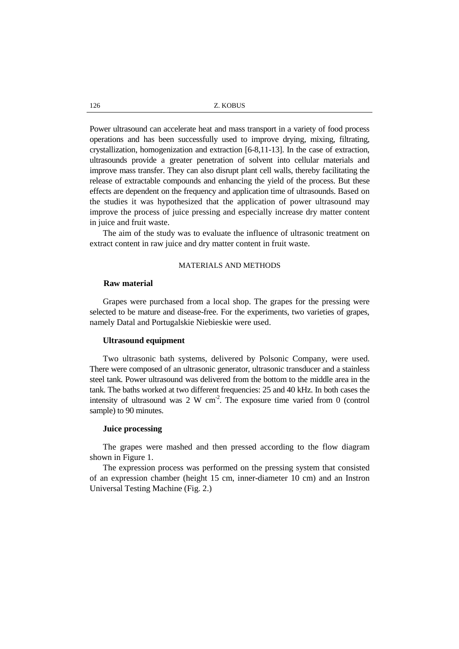126 Z. KOBUS

Power ultrasound can accelerate heat and mass transport in a variety of food process operations and has been successfully used to improve drying, mixing, filtrating, crystallization, homogenization and extraction [6-8,11-13]. In the case of extraction, ultrasounds provide a greater penetration of solvent into cellular materials and improve mass transfer. They can also disrupt plant cell walls, thereby facilitating the release of extractable compounds and enhancing the yield of the process. But these effects are dependent on the frequency and application time of ultrasounds. Based on the studies it was hypothesized that the application of power ultrasound may improve the process of juice pressing and especially increase dry matter content in juice and fruit waste.

The aim of the study was to evaluate the influence of ultrasonic treatment on extract content in raw juice and dry matter content in fruit waste.

## MATERIALS AND METHODS

### **Raw material**

Grapes were purchased from a local shop. The grapes for the pressing were selected to be mature and disease-free. For the experiments, two varieties of grapes, namely Datal and Portugalskie Niebieskie were used.

### **Ultrasound equipment**

Two ultrasonic bath systems, delivered by Polsonic Company, were used. There were composed of an ultrasonic generator, ultrasonic transducer and a stainless steel tank. Power ultrasound was delivered from the bottom to the middle area in the tank. The baths worked at two different frequencies: 25 and 40 kHz. In both cases the intensity of ultrasound was  $2 \text{ W cm}^2$ . The exposure time varied from 0 (control sample) to 90 minutes.

## **Juice processing**

The grapes were mashed and then pressed according to the flow diagram shown in Figure 1.

The expression process was performed on the pressing system that consisted of an expression chamber (height 15 cm, inner-diameter 10 cm) and an Instron Universal Testing Machine (Fig. 2.)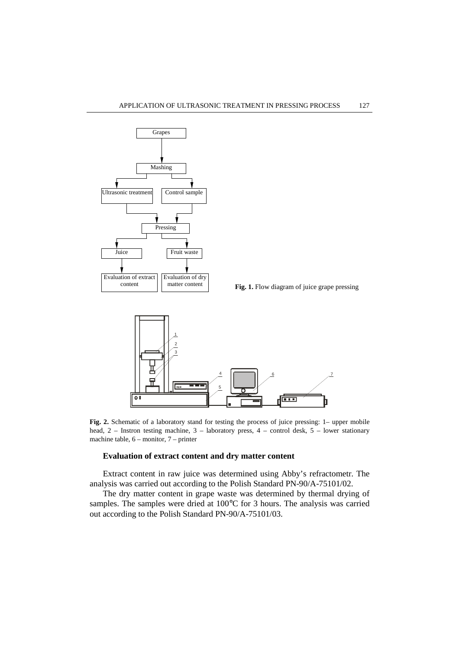

matter content **Fig. 1.** Flow diagram of juice grape pressing



**Fig. 2.** Schematic of a laboratory stand for testing the process of juice pressing: 1– upper mobile head, 2 – Instron testing machine, 3 – laboratory press, 4 – control desk, 5 – lower stationary machine table, 6 – monitor, 7 – printer

## **Evaluation of extract content and dry matter content**

Extract content in raw juice was determined using Abby's refractometr. The analysis was carried out according to the Polish Standard PN-90/A-75101/02.

The dry matter content in grape waste was determined by thermal drying of samples. The samples were dried at 100°C for 3 hours. The analysis was carried out according to the Polish Standard PN-90/A-75101/03.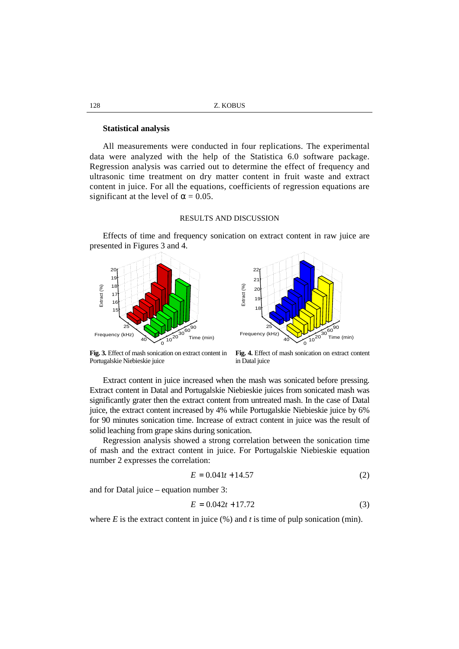| Z. KOBUS |
|----------|
|          |

#### **Statistical analysis**

All measurements were conducted in four replications. The experimental data were analyzed with the help of the Statistica 6.0 software package. Regression analysis was carried out to determine the effect of frequency and ultrasonic time treatment on dry matter content in fruit waste and extract content in juice. For all the equations, coefficients of regression equations are significant at the level of  $\alpha = 0.05$ .

## RESULTS AND DISCUSSION

Effects of time and frequency sonication on extract content in raw juice are presented in Figures 3 and 4.





**Fig. 3.** Effect of mash sonication on extract content in Portugalskie Niebieskie juice

**Fig. 4.** Effect of mash sonication on extract content in Datal juice

Extract content in juice increased when the mash was sonicated before pressing. Extract content in Datal and Portugalskie Niebieskie juices from sonicated mash was significantly grater then the extract content from untreated mash. In the case of Datal juice, the extract content increased by 4% while Portugalskie Niebieskie juice by 6% for 90 minutes sonication time. Increase of extract content in juice was the result of solid leaching from grape skins during sonication.

Regression analysis showed a strong correlation between the sonication time of mash and the extract content in juice. For Portugalskie Niebieskie equation number 2 expresses the correlation:

$$
E = 0.041t + 14.57\tag{2}
$$

and for Datal juice – equation number 3:

$$
E = 0.042t + 17.72\tag{3}
$$

where  $E$  is the extract content in juice  $(\%)$  and  $t$  is time of pulp sonication (min).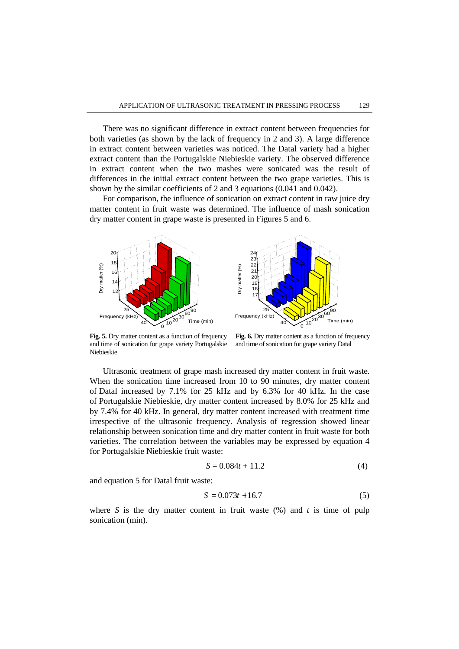There was no significant difference in extract content between frequencies for both varieties (as shown by the lack of frequency in 2 and 3). A large difference in extract content between varieties was noticed. The Datal variety had a higher extract content than the Portugalskie Niebieskie variety. The observed difference in extract content when the two mashes were sonicated was the result of differences in the initial extract content between the two grape varieties. This is shown by the similar coefficients of 2 and 3 equations (0.041 and 0.042).

For comparison, the influence of sonication on extract content in raw juice dry matter content in fruit waste was determined. The influence of mash sonication dry matter content in grape waste is presented in Figures 5 and 6.



**Fig. 5.** Dry matter content as a function of frequency and time of sonication for grape variety Portugalskie Niebieskie

Fig. 6. Dry matter content as a function of frequency and time of sonication for grape variety Datal

Ultrasonic treatment of grape mash increased dry matter content in fruit waste. When the sonication time increased from 10 to 90 minutes, dry matter content of Datal increased by 7.1% for 25 kHz and by 6.3% for 40 kHz. In the case of Portugalskie Niebieskie, dry matter content increased by 8.0% for 25 kHz and by 7.4% for 40 kHz. In general, dry matter content increased with treatment time irrespective of the ultrasonic frequency. Analysis of regression showed linear relationship between sonication time and dry matter content in fruit waste for both varieties. The correlation between the variables may be expressed by equation 4 for Portugalskie Niebieskie fruit waste:

$$
S = 0.084t + 11.2\tag{4}
$$

and equation 5 for Datal fruit waste:

$$
S = 0.073t + 16.7
$$
 (5)

where *S* is the dry matter content in fruit waste  $(\%)$  and *t* is time of pulp sonication (min).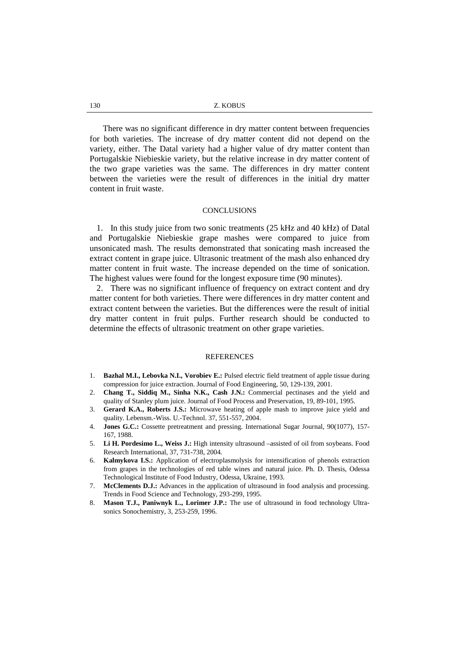There was no significant difference in dry matter content between frequencies for both varieties. The increase of dry matter content did not depend on the variety, either. The Datal variety had a higher value of dry matter content than Portugalskie Niebieskie variety, but the relative increase in dry matter content of the two grape varieties was the same. The differences in dry matter content between the varieties were the result of differences in the initial dry matter content in fruit waste.

### **CONCLUSIONS**

1. In this study juice from two sonic treatments (25 kHz and 40 kHz) of Datal and Portugalskie Niebieskie grape mashes were compared to juice from unsonicated mash. The results demonstrated that sonicating mash increased the extract content in grape juice. Ultrasonic treatment of the mash also enhanced dry matter content in fruit waste. The increase depended on the time of sonication. The highest values were found for the longest exposure time (90 minutes).

2. There was no significant influence of frequency on extract content and dry matter content for both varieties. There were differences in dry matter content and extract content between the varieties. But the differences were the result of initial dry matter content in fruit pulps. Further research should be conducted to determine the effects of ultrasonic treatment on other grape varieties.

#### **REFERENCES**

- 1. **Bazhal M.I., Lebovka N.I., Vorobiev E.:** Pulsed electric field treatment of apple tissue during compression for juice extraction. Journal of Food Engineering, 50, 129-139, 2001.
- 2. **Chang T., Siddiq M., Sinha N.K., Cash J.N.:** Commercial pectinases and the yield and quality of Stanley plum juice. Journal of Food Process and Preservation, 19, 89-101, 1995.
- 3. **Gerard K.A., Roberts J.S.:** Microwave heating of apple mash to improve juice yield and quality. Lebensm.-Wiss. U.-Technol. 37, 551-557, 2004.
- 4. **Jones G.C.:** Cossette pretreatment and pressing. International Sugar Journal, 90(1077), 157- 167, 1988.
- 5. **Li H. Pordesimo L., Weiss J.:** High intensity ultrasound –assisted of oil from soybeans. Food Research International, 37, 731-738, 2004.
- 6. **Kalmykova I.S.:** Application of electroplasmolysis for intensification of phenols extraction from grapes in the technologies of red table wines and natural juice. Ph. D. Thesis, Odessa Technological Institute of Food Industry, Odessa, Ukraine, 1993.
- 7. **McClements D.J.:** Advances in the application of ultrasound in food analysis and processing. Trends in Food Science and Technology, 293-299, 1995.
- 8. **Mason T.J., Paniwnyk L., Lorimer J.P.:** The use of ultrasound in food technology Ultrasonics Sonochemistry, 3, 253-259, 1996.